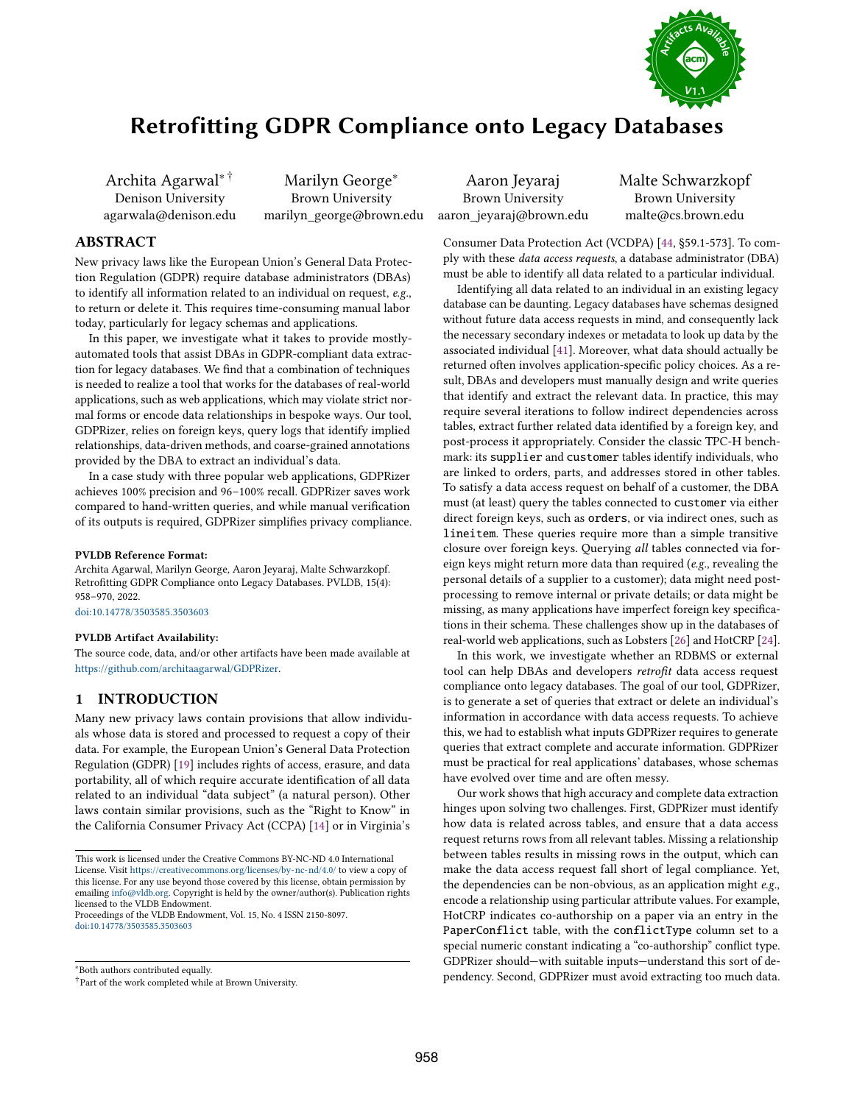

# Retrofiting GDPR Compliance onto Legacy Databases

Archita Agarwal∗ † Denison University agarwala@denison.edu

Marilyn George<sup>∗</sup> Brown University marilyn\_george@brown.edu

## ABSTRACT

New privacy laws like the European Union's General Data Protection Regulation (GDPR) require database administrators (DBAs) to identify all information related to an individual on request, e.g., to return or delete it. This requires time-consuming manual labor today, particularly for legacy schemas and applications.

In this paper, we investigate what it takes to provide mostlyautomated tools that assist DBAs in GDPR-compliant data extraction for legacy databases. We fnd that a combination of techniques is needed to realize a tool that works for the databases of real-world applications, such as web applications, which may violate strict normal forms or encode data relationships in bespoke ways. Our tool, GDPRizer, relies on foreign keys, query logs that identify implied relationships, data-driven methods, and coarse-grained annotations provided by the DBA to extract an individual's data.

In a case study with three popular web applications, GDPRizer achieves 100% precision and 96–100% recall. GDPRizer saves work compared to hand-written queries, and while manual verifcation of its outputs is required, GDPRizer simplifes privacy compliance.

#### PVLDB Reference Format:

Archita Agarwal, Marilyn George, Aaron Jeyaraj, Malte Schwarzkopf. Retroftting GDPR Compliance onto Legacy Databases. PVLDB, 15(4): 958–970, 2022.

[doi:10.14778/3503585.3503603](https://doi.org/10.14778/3503585.3503603)

#### PVLDB Artifact Availability:

The source code, data, and/or other artifacts have been made available at [https://github.com/architaagarwal/GDPRizer.](https://github.com/architaagarwal/GDPRizer)

## 1 INTRODUCTION

Many new privacy laws contain provisions that allow individuals whose data is stored and processed to request a copy of their data. For example, the European Union's General Data Protection Regulation (GDPR) [19] includes rights of access, erasure, and data portability, all of which require accurate identifcation of all data related to an individual "data subject" (a natural person). Other laws contain similar provisions, such as the "Right to Know" in the California Consumer Privacy Act (CCPA) [14] or in Virginia's

Proceedings of the VLDB Endowment, Vol. 15, No. 4 ISSN 2150-8097. [doi:10.14778/3503585.3503603](https://doi.org/10.14778/3503585.3503603)

<sup>∗</sup>Both authors contributed equally.

Aaron Jeyaraj Brown University aaron\_jeyaraj@brown.edu Malte Schwarzkopf Brown University malte@cs.brown.edu

Consumer Data Protection Act (VCDPA) [44, §59.1-573]. To comply with these data access requests, a database administrator (DBA) must be able to identify all data related to a particular individual.

Identifying all data related to an individual in an existing legacy database can be daunting. Legacy databases have schemas designed without future data access requests in mind, and consequently lack the necessary secondary indexes or metadata to look up data by the associated individual [41]. Moreover, what data should actually be returned often involves application-specifc policy choices. As a result, DBAs and developers must manually design and write queries that identify and extract the relevant data. In practice, this may require several iterations to follow indirect dependencies across tables, extract further related data identifed by a foreign key, and post-process it appropriately. Consider the classic TPC-H benchmark: its supplier and customer tables identify individuals, who are linked to orders, parts, and addresses stored in other tables. To satisfy a data access request on behalf of a customer, the DBA must (at least) query the tables connected to customer via either direct foreign keys, such as orders, or via indirect ones, such as lineitem. These queries require more than a simple transitive closure over foreign keys. Querying all tables connected via foreign keys might return more data than required (e.g., revealing the personal details of a supplier to a customer); data might need postprocessing to remove internal or private details; or data might be missing, as many applications have imperfect foreign key specifcations in their schema. These challenges show up in the databases of real-world web applications, such as Lobsters [26] and HotCRP [24].

In this work, we investigate whether an RDBMS or external tool can help DBAs and developers retrofit data access request compliance onto legacy databases. The goal of our tool, GDPRizer, is to generate a set of queries that extract or delete an individual's information in accordance with data access requests. To achieve this, we had to establish what inputs GDPRizer requires to generate queries that extract complete and accurate information. GDPRizer must be practical for real applications' databases, whose schemas have evolved over time and are often messy.

Our work shows that high accuracy and complete data extraction hinges upon solving two challenges. First, GDPRizer must identify how data is related across tables, and ensure that a data access request returns rows from all relevant tables. Missing a relationship between tables results in missing rows in the output, which can make the data access request fall short of legal compliance. Yet, the dependencies can be non-obvious, as an application might e.g., encode a relationship using particular attribute values. For example, HotCRP indicates co-authorship on a paper via an entry in the PaperConflict table, with the conflictType column set to a special numeric constant indicating a "co-authorship" confict type. GDPRizer should—with suitable inputs—understand this sort of dependency. Second, GDPRizer must avoid extracting too much data.

This work is licensed under the Creative Commons BY-NC-ND 4.0 International License. Visit <https://creativecommons.org/licenses/by-nc-nd/4.0/> to view a copy of this license. For any use beyond those covered by this license, obtain permission by emailing [info@vldb.org.](mailto:info@vldb.org) Copyright is held by the owner/author(s). Publication rights licensed to the VLDB Endowment.

<sup>†</sup>Part of the work completed while at Brown University.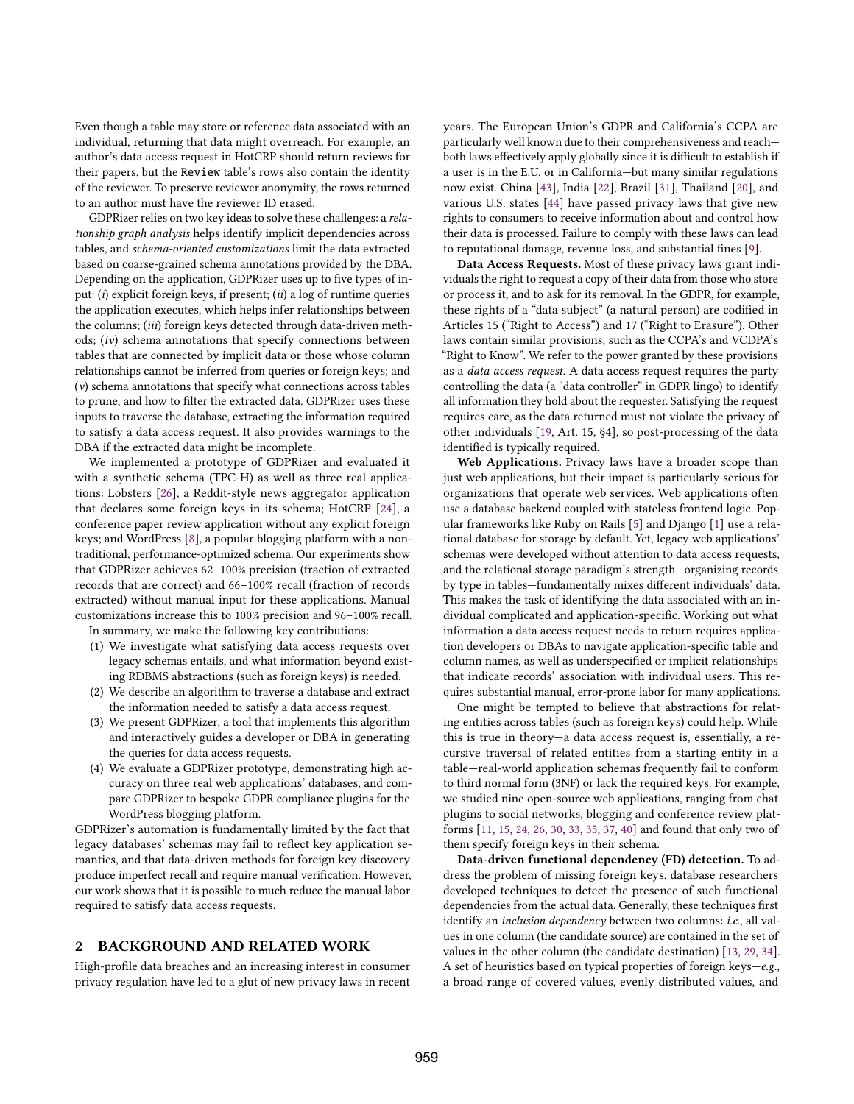Even though a table may store or reference data associated with an individual, returning that data might overreach. For example, an author's data access request in HotCRP should return reviews for their papers, but the Review table's rows also contain the identity of the reviewer. To preserve reviewer anonymity, the rows returned to an author must have the reviewer ID erased.

GDPRizer relies on two key ideas to solve these challenges: a relationship graph analysis helps identify implicit dependencies across tables, and schema-oriented customizations limit the data extracted based on coarse-grained schema annotations provided by the DBA. Depending on the application, GDPRizer uses up to five types of input: (i) explicit foreign keys, if present; (ii) a log of runtime queries the application executes, which helps infer relationships between the columns; (iii) foreign keys detected through data-driven methods; (iv) schema annotations that specify connections between tables that are connected by implicit data or those whose column relationships cannot be inferred from queries or foreign keys; and (v) schema annotations that specify what connections across tables to prune, and how to flter the extracted data. GDPRizer uses these inputs to traverse the database, extracting the information required to satisfy a data access request. It also provides warnings to the DBA if the extracted data might be incomplete.

We implemented a prototype of GDPRizer and evaluated it with a synthetic schema (TPC-H) as well as three real applications: Lobsters [26], a Reddit-style news aggregator application that declares some foreign keys in its schema; HotCRP [24], a conference paper review application without any explicit foreign keys; and WordPress [8], a popular blogging platform with a nontraditional, performance-optimized schema. Our experiments show that GDPRizer achieves 62–100% precision (fraction of extracted records that are correct) and 66–100% recall (fraction of records extracted) without manual input for these applications. Manual customizations increase this to 100% precision and 96–100% recall.

In summary, we make the following key contributions:

- (1) We investigate what satisfying data access requests over legacy schemas entails, and what information beyond existing RDBMS abstractions (such as foreign keys) is needed.
- (2) We describe an algorithm to traverse a database and extract the information needed to satisfy a data access request.
- (3) We present GDPRizer, a tool that implements this algorithm and interactively guides a developer or DBA in generating the queries for data access requests.
- (4) We evaluate a GDPRizer prototype, demonstrating high accuracy on three real web applications' databases, and compare GDPRizer to bespoke GDPR compliance plugins for the WordPress blogging platform.

GDPRizer's automation is fundamentally limited by the fact that legacy databases' schemas may fail to reflect key application semantics, and that data-driven methods for foreign key discovery produce imperfect recall and require manual verifcation. However, our work shows that it is possible to much reduce the manual labor required to satisfy data access requests.

## 2 BACKGROUND AND RELATED WORK

High-profle data breaches and an increasing interest in consumer privacy regulation have led to a glut of new privacy laws in recent years. The European Union's GDPR and California's CCPA are particularly well known due to their comprehensiveness and reach both laws effectively apply globally since it is difficult to establish if a user is in the E.U. or in California—but many similar regulations now exist. China [43], India [22], Brazil [31], Thailand [20], and various U.S. states [44] have passed privacy laws that give new rights to consumers to receive information about and control how their data is processed. Failure to comply with these laws can lead to reputational damage, revenue loss, and substantial fnes [9].

Data Access Requests. Most of these privacy laws grant individuals the right to request a copy of their data from those who store or process it, and to ask for its removal. In the GDPR, for example, these rights of a "data subject" (a natural person) are codifed in Articles 15 ("Right to Access") and 17 ("Right to Erasure"). Other laws contain similar provisions, such as the CCPA's and VCDPA's "Right to Know". We refer to the power granted by these provisions as a data access request. A data access request requires the party controlling the data (a "data controller" in GDPR lingo) to identify all information they hold about the requester. Satisfying the request requires care, as the data returned must not violate the privacy of other individuals [19, Art. 15, §4], so post-processing of the data identifed is typically required.

Web Applications. Privacy laws have a broader scope than just web applications, but their impact is particularly serious for organizations that operate web services. Web applications often use a database backend coupled with stateless frontend logic. Popular frameworks like Ruby on Rails [5] and Django [1] use a relational database for storage by default. Yet, legacy web applications' schemas were developed without attention to data access requests, and the relational storage paradigm's strength—organizing records by type in tables—fundamentally mixes diferent individuals' data. This makes the task of identifying the data associated with an individual complicated and application-specifc. Working out what information a data access request needs to return requires application developers or DBAs to navigate application-specifc table and column names, as well as underspecifed or implicit relationships that indicate records' association with individual users. This requires substantial manual, error-prone labor for many applications.

One might be tempted to believe that abstractions for relating entities across tables (such as foreign keys) could help. While this is true in theory—a data access request is, essentially, a recursive traversal of related entities from a starting entity in a table—real-world application schemas frequently fail to conform to third normal form (3NF) or lack the required keys. For example, we studied nine open-source web applications, ranging from chat plugins to social networks, blogging and conference review platforms [11, 15, 24, 26, 30, 33, 35, 37, 40] and found that only two of them specify foreign keys in their schema.

Data-driven functional dependency (FD) detection. To address the problem of missing foreign keys, database researchers developed techniques to detect the presence of such functional dependencies from the actual data. Generally, these techniques frst identify an inclusion dependency between two columns: i.e., all values in one column (the candidate source) are contained in the set of values in the other column (the candidate destination) [13, 29, 34]. A set of heuristics based on typical properties of foreign keys—e.g., a broad range of covered values, evenly distributed values, and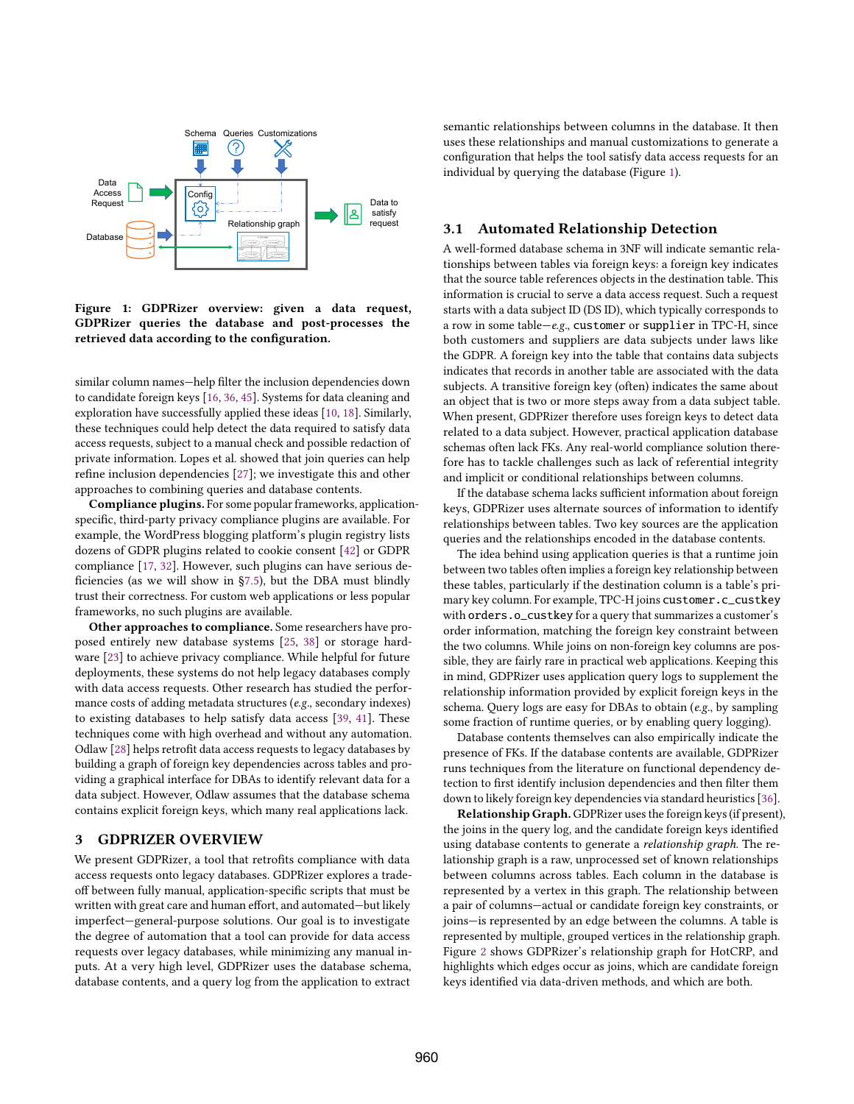

Figure 1: GDPRizer overview: given a data request, GDPRizer queries the database and post-processes the retrieved data according to the confguration.

similar column names—help flter the inclusion dependencies down to candidate foreign keys [16, 36, 45]. Systems for data cleaning and exploration have successfully applied these ideas [10, 18]. Similarly, these techniques could help detect the data required to satisfy data access requests, subject to a manual check and possible redaction of private information. Lopes et al. showed that join queries can help refne inclusion dependencies [27]; we investigate this and other approaches to combining queries and database contents.

Compliance plugins. For some popular frameworks, applicationspecifc, third-party privacy compliance plugins are available. For example, the WordPress blogging platform's plugin registry lists dozens of GDPR plugins related to cookie consent [42] or GDPR compliance [17, 32]. However, such plugins can have serious defciencies (as we will show in §7.5), but the DBA must blindly trust their correctness. For custom web applications or less popular frameworks, no such plugins are available.

Other approaches to compliance. Some researchers have proposed entirely new database systems [25, 38] or storage hardware [23] to achieve privacy compliance. While helpful for future deployments, these systems do not help legacy databases comply with data access requests. Other research has studied the performance costs of adding metadata structures (e.g., secondary indexes) to existing databases to help satisfy data access [39, 41]. These techniques come with high overhead and without any automation. Odlaw [28] helps retroft data access requests to legacy databases by building a graph of foreign key dependencies across tables and providing a graphical interface for DBAs to identify relevant data for a data subject. However, Odlaw assumes that the database schema contains explicit foreign keys, which many real applications lack.

## 3 GDPRIZER OVERVIEW

We present GDPRizer, a tool that retrofts compliance with data access requests onto legacy databases. GDPRizer explores a tradeof between fully manual, application-specifc scripts that must be written with great care and human effort, and automated-but likely imperfect—general-purpose solutions. Our goal is to investigate the degree of automation that a tool can provide for data access requests over legacy databases, while minimizing any manual inputs. At a very high level, GDPRizer uses the database schema, database contents, and a query log from the application to extract

semantic relationships between columns in the database. It then uses these relationships and manual customizations to generate a confguration that helps the tool satisfy data access requests for an individual by querying the database (Figure 1).

#### 3.1 Automated Relationship Detection

A well-formed database schema in 3NF will indicate semantic relationships between tables via foreign keys: a foreign key indicates that the source table references objects in the destination table. This information is crucial to serve a data access request. Such a request starts with a data subject ID (DS ID), which typically corresponds to a row in some table—e.g., customer or supplier in TPC-H, since both customers and suppliers are data subjects under laws like the GDPR. A foreign key into the table that contains data subjects indicates that records in another table are associated with the data subjects. A transitive foreign key (often) indicates the same about an object that is two or more steps away from a data subject table. When present, GDPRizer therefore uses foreign keys to detect data related to a data subject. However, practical application database schemas often lack FKs. Any real-world compliance solution therefore has to tackle challenges such as lack of referential integrity and implicit or conditional relationships between columns.

If the database schema lacks sufficient information about foreign keys, GDPRizer uses alternate sources of information to identify relationships between tables. Two key sources are the application queries and the relationships encoded in the database contents.

The idea behind using application queries is that a runtime join between two tables often implies a foreign key relationship between these tables, particularly if the destination column is a table's primary key column. For example, TPC-H joins customer. c\_custkey with orders.o\_custkey for a query that summarizes a customer's order information, matching the foreign key constraint between the two columns. While joins on non-foreign key columns are possible, they are fairly rare in practical web applications. Keeping this in mind, GDPRizer uses application query logs to supplement the relationship information provided by explicit foreign keys in the schema. Query logs are easy for DBAs to obtain (e.g., by sampling some fraction of runtime queries, or by enabling query logging).

Database contents themselves can also empirically indicate the presence of FKs. If the database contents are available, GDPRizer runs techniques from the literature on functional dependency detection to frst identify inclusion dependencies and then flter them down to likely foreign key dependencies via standard heuristics [36].

Relationship Graph.GDPRizer uses the foreign keys (if present), the joins in the query log, and the candidate foreign keys identifed using database contents to generate a relationship graph. The relationship graph is a raw, unprocessed set of known relationships between columns across tables. Each column in the database is represented by a vertex in this graph. The relationship between a pair of columns—actual or candidate foreign key constraints, or joins—is represented by an edge between the columns. A table is represented by multiple, grouped vertices in the relationship graph. Figure 2 shows GDPRizer's relationship graph for HotCRP, and highlights which edges occur as joins, which are candidate foreign keys identifed via data-driven methods, and which are both.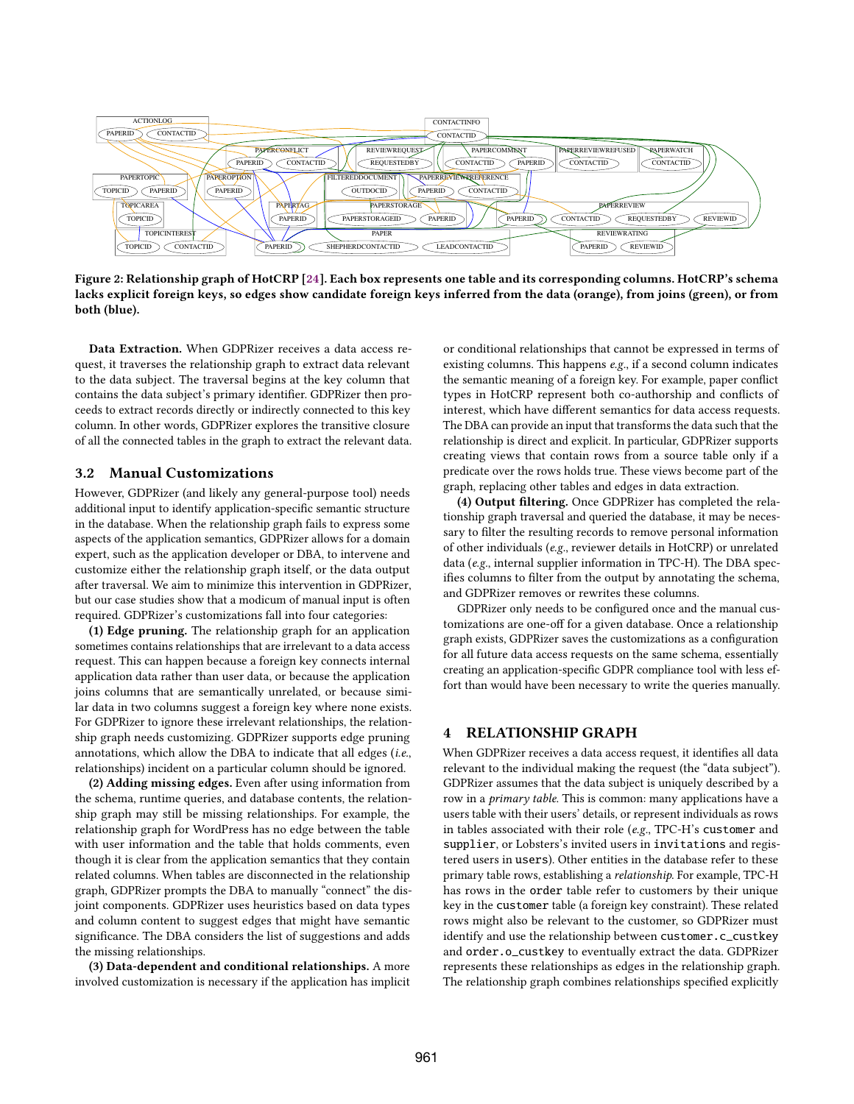

Figure 2: Relationship graph of HotCRP [24]. Each box represents one table and its corresponding columns. HotCRP's schema lacks explicit foreign keys, so edges show candidate foreign keys inferred from the data (orange), from joins (green), or from both (blue).

Data Extraction. When GDPRizer receives a data access request, it traverses the relationship graph to extract data relevant to the data subject. The traversal begins at the key column that contains the data subject's primary identifer. GDPRizer then proceeds to extract records directly or indirectly connected to this key column. In other words, GDPRizer explores the transitive closure of all the connected tables in the graph to extract the relevant data.

### 3.2 Manual Customizations

However, GDPRizer (and likely any general-purpose tool) needs additional input to identify application-specifc semantic structure in the database. When the relationship graph fails to express some aspects of the application semantics, GDPRizer allows for a domain expert, such as the application developer or DBA, to intervene and customize either the relationship graph itself, or the data output after traversal. We aim to minimize this intervention in GDPRizer, but our case studies show that a modicum of manual input is often required. GDPRizer's customizations fall into four categories:

(1) Edge pruning. The relationship graph for an application sometimes contains relationships that are irrelevant to a data access request. This can happen because a foreign key connects internal application data rather than user data, or because the application joins columns that are semantically unrelated, or because similar data in two columns suggest a foreign key where none exists. For GDPRizer to ignore these irrelevant relationships, the relationship graph needs customizing. GDPRizer supports edge pruning annotations, which allow the DBA to indicate that all edges (i.e., relationships) incident on a particular column should be ignored.

(2) Adding missing edges. Even after using information from the schema, runtime queries, and database contents, the relationship graph may still be missing relationships. For example, the relationship graph for WordPress has no edge between the table with user information and the table that holds comments, even though it is clear from the application semantics that they contain related columns. When tables are disconnected in the relationship graph, GDPRizer prompts the DBA to manually "connect" the disjoint components. GDPRizer uses heuristics based on data types and column content to suggest edges that might have semantic signifcance. The DBA considers the list of suggestions and adds the missing relationships.

(3) Data-dependent and conditional relationships. A more involved customization is necessary if the application has implicit or conditional relationships that cannot be expressed in terms of existing columns. This happens e.g., if a second column indicates the semantic meaning of a foreign key. For example, paper confict types in HotCRP represent both co-authorship and conficts of interest, which have diferent semantics for data access requests. The DBA can provide an input that transforms the data such that the relationship is direct and explicit. In particular, GDPRizer supports creating views that contain rows from a source table only if a predicate over the rows holds true. These views become part of the graph, replacing other tables and edges in data extraction.

(4) Output fltering. Once GDPRizer has completed the relationship graph traversal and queried the database, it may be necessary to flter the resulting records to remove personal information of other individuals (e.g., reviewer details in HotCRP) or unrelated data (e.g., internal supplier information in TPC-H). The DBA specifes columns to flter from the output by annotating the schema, and GDPRizer removes or rewrites these columns.

GDPRizer only needs to be confgured once and the manual customizations are one-off for a given database. Once a relationship graph exists, GDPRizer saves the customizations as a confguration for all future data access requests on the same schema, essentially creating an application-specifc GDPR compliance tool with less effort than would have been necessary to write the queries manually.

#### 4 RELATIONSHIP GRAPH

When GDPRizer receives a data access request, it identifes all data relevant to the individual making the request (the "data subject"). GDPRizer assumes that the data subject is uniquely described by a row in a primary table. This is common: many applications have a users table with their users' details, or represent individuals as rows in tables associated with their role (e.g., TPC-H's customer and supplier, or Lobsters's invited users in invitations and registered users in users). Other entities in the database refer to these primary table rows, establishing a relationship. For example, TPC-H has rows in the order table refer to customers by their unique key in the customer table (a foreign key constraint). These related rows might also be relevant to the customer, so GDPRizer must identify and use the relationship between customer.c\_custkey and order.o\_custkey to eventually extract the data. GDPRizer represents these relationships as edges in the relationship graph. The relationship graph combines relationships specifed explicitly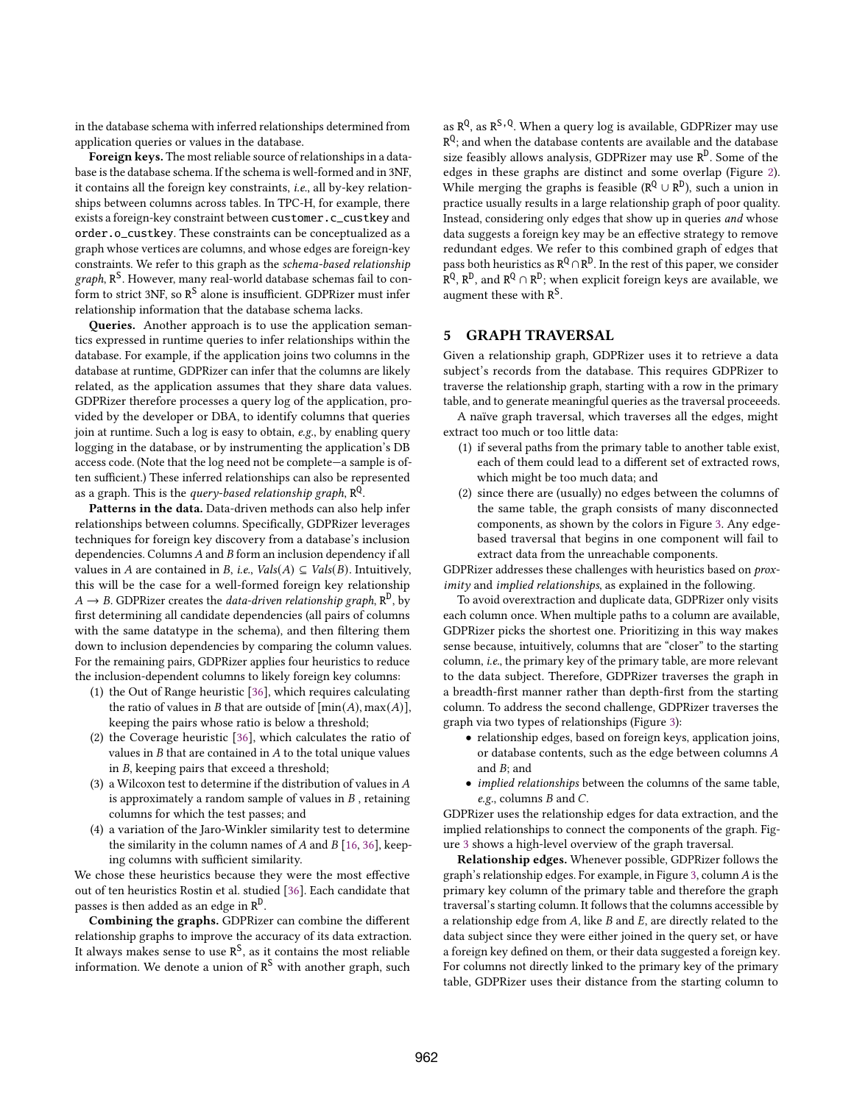in the database schema with inferred relationships determined from application queries or values in the database.

Foreign keys. The most reliable source of relationships in a database is the database schema. If the schema is well-formed and in 3NF, it contains all the foreign key constraints, i.e., all by-key relationships between columns across tables. In TPC-H, for example, there exists a foreign-key constraint between customer.c\_custkey and order.o\_custkey. These constraints can be conceptualized as a graph whose vertices are columns, and whose edges are foreign-key constraints. We refer to this graph as the schema-based relationship graph, R<sup>S</sup>. However, many real-world database schemas fail to conform to strict 3NF, so  $R^S$  alone is insufficient. GDPRizer must infer relationship information that the database schema lacks.

Queries. Another approach is to use the application semantics expressed in runtime queries to infer relationships within the database. For example, if the application joins two columns in the database at runtime, GDPRizer can infer that the columns are likely related, as the application assumes that they share data values. GDPRizer therefore processes a query log of the application, provided by the developer or DBA, to identify columns that queries join at runtime. Such a log is easy to obtain, e.g., by enabling query logging in the database, or by instrumenting the application's DB access code. (Note that the log need not be complete—a sample is often sufficient.) These inferred relationships can also be represented as a graph. This is the *query-based relationship graph*,  $\mathtt{R}^\mathtt{Q}$ .

Patterns in the data. Data-driven methods can also help infer relationships between columns. Specifcally, GDPRizer leverages techniques for foreign key discovery from a database's inclusion dependencies. Columns  $A$  and  $B$  form an inclusion dependency if all values in A are contained in B, i.e.,  $Vals(A) \subseteq Vals(B)$ . Intuitively, this will be the case for a well-formed foreign key relationship  $A \rightarrow B$ . GDPRizer creates the *data-driven relationship graph*,  $\mathbb{R}^D$ , by frst determining all candidate dependencies (all pairs of columns with the same datatype in the schema), and then fltering them down to inclusion dependencies by comparing the column values. For the remaining pairs, GDPRizer applies four heuristics to reduce the inclusion-dependent columns to likely foreign key columns:

- (1) the Out of Range heuristic [36], which requires calculating the ratio of values in *B* that are outside of  $[\min(A), \max(A)],$ keeping the pairs whose ratio is below a threshold;
- (2) the Coverage heuristic [36], which calculates the ratio of values in  $B$  that are contained in  $A$  to the total unique values in  $B$ , keeping pairs that exceed a threshold;
- (3) a Wilcoxon test to determine if the distribution of values in  $A$ is approximately a random sample of values in  $B$ , retaining columns for which the test passes; and
- (4) a variation of the Jaro-Winkler similarity test to determine the similarity in the column names of  $A$  and  $B$  [16, 36], keeping columns with sufficient similarity.

We chose these heuristics because they were the most effective out of ten heuristics Rostin et al. studied [36]. Each candidate that passes is then added as an edge in  $\mathtt{R}^\mathtt{D}.$ 

Combining the graphs. GDPRizer can combine the diferent relationship graphs to improve the accuracy of its data extraction. It always makes sense to use  $R<sup>S</sup>$ , as it contains the most reliable information. We denote a union of  $R^S$  with another graph, such

as  $R^Q$ , as  $R^{S\,,\,Q}$ . When a query log is available, GDPRizer may use  $R^{Q}$ ; and when the database contents are available and the database size feasibly allows analysis, GDPRizer may use  $R^D$ . Some of the edges in these graphs are distinct and some overlap (Figure 2). While merging the graphs is feasible ( $R^Q \cup R^D$ ), such a union in practice usually results in a large relationship graph of poor quality. Instead, considering only edges that show up in queries and whose data suggests a foreign key may be an efective strategy to remove redundant edges. We refer to this combined graph of edges that pass both heuristics as  $R^Q \cap R^D$ . In the rest of this paper, we consider  $\overline{R}^{\textsf{Q}},$   $R^{\textsf{D}},$  and  $R^{\textsf{Q}} \cap R^{\textsf{D}}$ ; when explicit foreign keys are available, we augment these with R<sup>S</sup>.

## 5 GRAPH TRAVERSAL

Given a relationship graph, GDPRizer uses it to retrieve a data subject's records from the database. This requires GDPRizer to traverse the relationship graph, starting with a row in the primary table, and to generate meaningful queries as the traversal proceeeds.

A naïve graph traversal, which traverses all the edges, might extract too much or too little data:

- (1) if several paths from the primary table to another table exist, each of them could lead to a diferent set of extracted rows, which might be too much data; and
- (2) since there are (usually) no edges between the columns of the same table, the graph consists of many disconnected components, as shown by the colors in Figure 3. Any edgebased traversal that begins in one component will fail to extract data from the unreachable components.

GDPRizer addresses these challenges with heuristics based on proximity and implied relationships, as explained in the following.

To avoid overextraction and duplicate data, GDPRizer only visits each column once. When multiple paths to a column are available, GDPRizer picks the shortest one. Prioritizing in this way makes sense because, intuitively, columns that are "closer" to the starting column, i.e., the primary key of the primary table, are more relevant to the data subject. Therefore, GDPRizer traverses the graph in a breadth-frst manner rather than depth-frst from the starting column. To address the second challenge, GDPRizer traverses the graph via two types of relationships (Figure 3):

- relationship edges, based on foreign keys, application joins, or database contents, such as the edge between columns and  $B$ ; and
- implied relationships between the columns of the same table,  $e.g.,$  columns  $B$  and  $C.$

GDPRizer uses the relationship edges for data extraction, and the implied relationships to connect the components of the graph. Figure 3 shows a high-level overview of the graph traversal.

Relationship edges. Whenever possible, GDPRizer follows the graph's relationship edges. For example, in Figure 3, column  $A$  is the primary key column of the primary table and therefore the graph traversal's starting column. It follows that the columns accessible by a relationship edge from  $A$ , like  $B$  and  $E$ , are directly related to the data subject since they were either joined in the query set, or have a foreign key defned on them, or their data suggested a foreign key. For columns not directly linked to the primary key of the primary table, GDPRizer uses their distance from the starting column to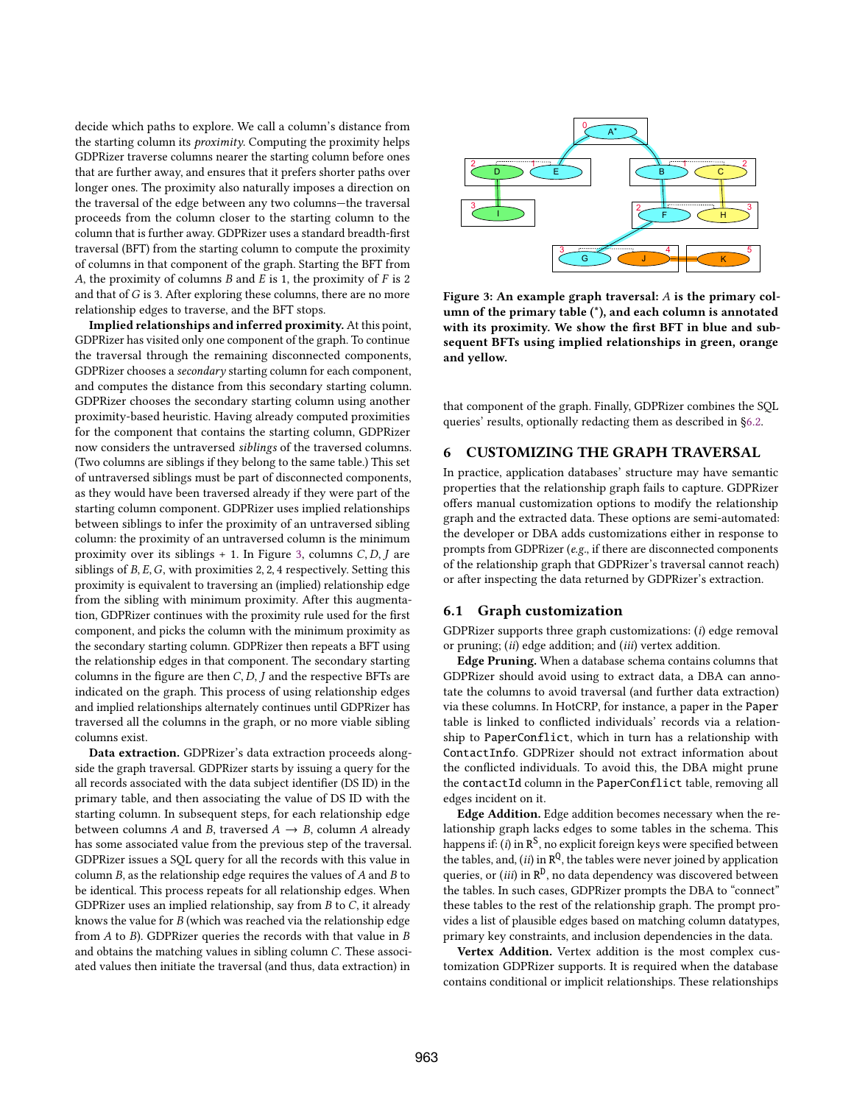decide which paths to explore. We call a column's distance from the starting column its proximity. Computing the proximity helps GDPRizer traverse columns nearer the starting column before ones that are further away, and ensures that it prefers shorter paths over longer ones. The proximity also naturally imposes a direction on the traversal of the edge between any two columns—the traversal proceeds from the column closer to the starting column to the column that is further away. GDPRizer uses a standard breadth-frst traversal (BFT) from the starting column to compute the proximity of columns in that component of the graph. Starting the BFT from A, the proximity of columns  $B$  and  $E$  is 1, the proximity of  $F$  is 2 and that of  $G$  is 3. After exploring these columns, there are no more relationship edges to traverse, and the BFT stops.

Implied relationships and inferred proximity. At this point, GDPRizer has visited only one component of the graph. To continue the traversal through the remaining disconnected components, GDPRizer chooses a secondary starting column for each component, and computes the distance from this secondary starting column. GDPRizer chooses the secondary starting column using another proximity-based heuristic. Having already computed proximities for the component that contains the starting column, GDPRizer now considers the untraversed siblings of the traversed columns. (Two columns are siblings if they belong to the same table.) This set of untraversed siblings must be part of disconnected components, as they would have been traversed already if they were part of the starting column component. GDPRizer uses implied relationships between siblings to infer the proximity of an untraversed sibling column: the proximity of an untraversed column is the minimum proximity over its siblings  $+ 1$ . In Figure 3, columns C, D, J are siblings of  $B, E, G$ , with proximities 2, 2, 4 respectively. Setting this proximity is equivalent to traversing an (implied) relationship edge from the sibling with minimum proximity. After this augmentation, GDPRizer continues with the proximity rule used for the frst component, and picks the column with the minimum proximity as the secondary starting column. GDPRizer then repeats a BFT using the relationship edges in that component. The secondary starting columns in the figure are then  $C, D, J$  and the respective BFTs are indicated on the graph. This process of using relationship edges and implied relationships alternately continues until GDPRizer has traversed all the columns in the graph, or no more viable sibling columns exist.

Data extraction. GDPRizer's data extraction proceeds alongside the graph traversal. GDPRizer starts by issuing a query for the all records associated with the data subject identifer (DS ID) in the primary table, and then associating the value of DS ID with the starting column. In subsequent steps, for each relationship edge between columns A and B, traversed  $A \rightarrow B$ , column A already has some associated value from the previous step of the traversal. GDPRizer issues a SQL query for all the records with this value in column  $B$ , as the relationship edge requires the values of  $A$  and  $B$  to be identical. This process repeats for all relationship edges. When GDPRizer uses an implied relationship, say from  $B$  to  $C$ , it already knows the value for  $B$  (which was reached via the relationship edge from  $A$  to  $B$ ). GDPRizer queries the records with that value in  $B$ and obtains the matching values in sibling column  $C$ . These associated values then initiate the traversal (and thus, data extraction) in



Figure 3: An example graph traversal:  $A$  is the primary column of the primary table (\*), and each column is annotated with its proximity. We show the frst BFT in blue and subsequent BFTs using implied relationships in green, orange and yellow.

that component of the graph. Finally, GDPRizer combines the SQL queries' results, optionally redacting them as described in §6.2.

## 6 CUSTOMIZING THE GRAPH TRAVERSAL

In practice, application databases' structure may have semantic properties that the relationship graph fails to capture. GDPRizer offers manual customization options to modify the relationship graph and the extracted data. These options are semi-automated: the developer or DBA adds customizations either in response to prompts from GDPRizer (e.g., if there are disconnected components of the relationship graph that GDPRizer's traversal cannot reach) or after inspecting the data returned by GDPRizer's extraction.

#### 6.1 Graph customization

GDPRizer supports three graph customizations: (i) edge removal or pruning; (ii) edge addition; and (iii) vertex addition.

Edge Pruning. When a database schema contains columns that GDPRizer should avoid using to extract data, a DBA can annotate the columns to avoid traversal (and further data extraction) via these columns. In HotCRP, for instance, a paper in the Paper table is linked to conficted individuals' records via a relationship to PaperConflict, which in turn has a relationship with ContactInfo. GDPRizer should not extract information about the conficted individuals. To avoid this, the DBA might prune the contactId column in the PaperConflict table, removing all edges incident on it.

Edge Addition. Edge addition becomes necessary when the relationship graph lacks edges to some tables in the schema. This happens if: (i) in  $R^S$ , no explicit foreign keys were specified between the tables, and, (ii) in  $\mathbb{R}^{\mathbb{Q}}$ , the tables were never joined by application queries, or (iii) in  $R^D$ , no data dependency was discovered between the tables. In such cases, GDPRizer prompts the DBA to "connect" these tables to the rest of the relationship graph. The prompt provides a list of plausible edges based on matching column datatypes, primary key constraints, and inclusion dependencies in the data.

Vertex Addition. Vertex addition is the most complex customization GDPRizer supports. It is required when the database contains conditional or implicit relationships. These relationships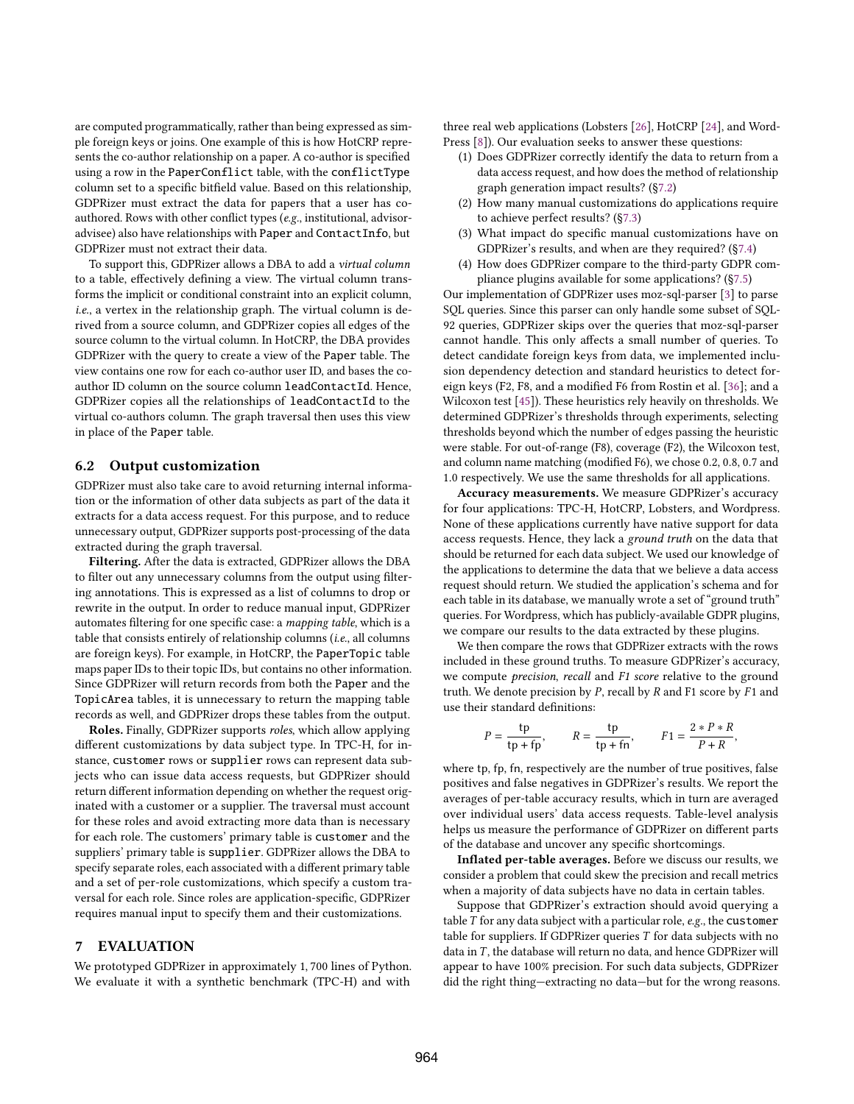are computed programmatically, rather than being expressed as simple foreign keys or joins. One example of this is how HotCRP represents the co-author relationship on a paper. A co-author is specifed using a row in the PaperConflict table, with the conflictType column set to a specifc bitfeld value. Based on this relationship, GDPRizer must extract the data for papers that a user has coauthored. Rows with other confict types (e.g., institutional, advisoradvisee) also have relationships with Paper and ContactInfo, but GDPRizer must not extract their data.

To support this, GDPRizer allows a DBA to add a virtual column to a table, efectively defning a view. The virtual column transforms the implicit or conditional constraint into an explicit column, i.e., a vertex in the relationship graph. The virtual column is derived from a source column, and GDPRizer copies all edges of the source column to the virtual column. In HotCRP, the DBA provides GDPRizer with the query to create a view of the Paper table. The view contains one row for each co-author user ID, and bases the coauthor ID column on the source column leadContactId. Hence, GDPRizer copies all the relationships of leadContactId to the virtual co-authors column. The graph traversal then uses this view in place of the Paper table.

### 6.2 Output customization

GDPRizer must also take care to avoid returning internal information or the information of other data subjects as part of the data it extracts for a data access request. For this purpose, and to reduce unnecessary output, GDPRizer supports post-processing of the data extracted during the graph traversal.

Filtering. After the data is extracted, GDPRizer allows the DBA to flter out any unnecessary columns from the output using fltering annotations. This is expressed as a list of columns to drop or rewrite in the output. In order to reduce manual input, GDPRizer automates filtering for one specific case: a mapping table, which is a table that consists entirely of relationship columns (i.e., all columns are foreign keys). For example, in HotCRP, the PaperTopic table maps paper IDs to their topic IDs, but contains no other information. Since GDPRizer will return records from both the Paper and the TopicArea tables, it is unnecessary to return the mapping table records as well, and GDPRizer drops these tables from the output.

Roles. Finally, GDPRizer supports roles, which allow applying diferent customizations by data subject type. In TPC-H, for instance, customer rows or supplier rows can represent data subjects who can issue data access requests, but GDPRizer should return diferent information depending on whether the request originated with a customer or a supplier. The traversal must account for these roles and avoid extracting more data than is necessary for each role. The customers' primary table is customer and the suppliers' primary table is supplier. GDPRizer allows the DBA to specify separate roles, each associated with a diferent primary table and a set of per-role customizations, which specify a custom traversal for each role. Since roles are application-specifc, GDPRizer requires manual input to specify them and their customizations.

#### 7 EVALUATION

We prototyped GDPRizer in approximately 1, 700 lines of Python. We evaluate it with a synthetic benchmark (TPC-H) and with

three real web applications (Lobsters [26], HotCRP [24], and Word-Press [8]). Our evaluation seeks to answer these questions:

- (1) Does GDPRizer correctly identify the data to return from a data access request, and how does the method of relationship graph generation impact results? (§7.2)
- (2) How many manual customizations do applications require to achieve perfect results? (§7.3)
- (3) What impact do specifc manual customizations have on GDPRizer's results, and when are they required? (§7.4)
- (4) How does GDPRizer compare to the third-party GDPR compliance plugins available for some applications? (§7.5)

Our implementation of GDPRizer uses moz-sql-parser [3] to parse SQL queries. Since this parser can only handle some subset of SQL-92 queries, GDPRizer skips over the queries that moz-sql-parser cannot handle. This only afects a small number of queries. To detect candidate foreign keys from data, we implemented inclusion dependency detection and standard heuristics to detect foreign keys (F2, F8, and a modifed F6 from Rostin et al. [36]; and a Wilcoxon test [45]). These heuristics rely heavily on thresholds. We determined GDPRizer's thresholds through experiments, selecting thresholds beyond which the number of edges passing the heuristic were stable. For out-of-range (F8), coverage (F2), the Wilcoxon test, and column name matching (modifed F6), we chose 0.2, 0.8, 0.7 and 1.0 respectively. We use the same thresholds for all applications.

Accuracy measurements. We measure GDPRizer's accuracy for four applications: TPC-H, HotCRP, Lobsters, and Wordpress. None of these applications currently have native support for data access requests. Hence, they lack a ground truth on the data that should be returned for each data subject. We used our knowledge of the applications to determine the data that we believe a data access request should return. We studied the application's schema and for each table in its database, we manually wrote a set of "ground truth" queries. For Wordpress, which has publicly-available GDPR plugins, we compare our results to the data extracted by these plugins.

We then compare the rows that GDPRizer extracts with the rows included in these ground truths. To measure GDPRizer's accuracy, we compute precision, recall and F1 score relative to the ground truth. We denote precision by  $P$ , recall by  $R$  and  $F1$  score by  $F1$  and use their standard defnitions:

$$
P = \frac{\text{tp}}{\text{tp} + \text{fp}}, \qquad R = \frac{\text{tp}}{\text{tp} + \text{fn}}, \qquad F1 = \frac{2 \cdot P \cdot R}{P + R},
$$

where tp, fp, fn, respectively are the number of true positives, false positives and false negatives in GDPRizer's results. We report the averages of per-table accuracy results, which in turn are averaged over individual users' data access requests. Table-level analysis helps us measure the performance of GDPRizer on diferent parts of the database and uncover any specifc shortcomings.

Infated per-table averages. Before we discuss our results, we consider a problem that could skew the precision and recall metrics when a majority of data subjects have no data in certain tables.

Suppose that GDPRizer's extraction should avoid querying a table  $T$  for any data subject with a particular role,  $e.g.,$  the customer table for suppliers. If GDPRizer queries  $T$  for data subjects with no data in  $T$ , the database will return no data, and hence GDPRizer will appear to have 100% precision. For such data subjects, GDPRizer did the right thing—extracting no data—but for the wrong reasons.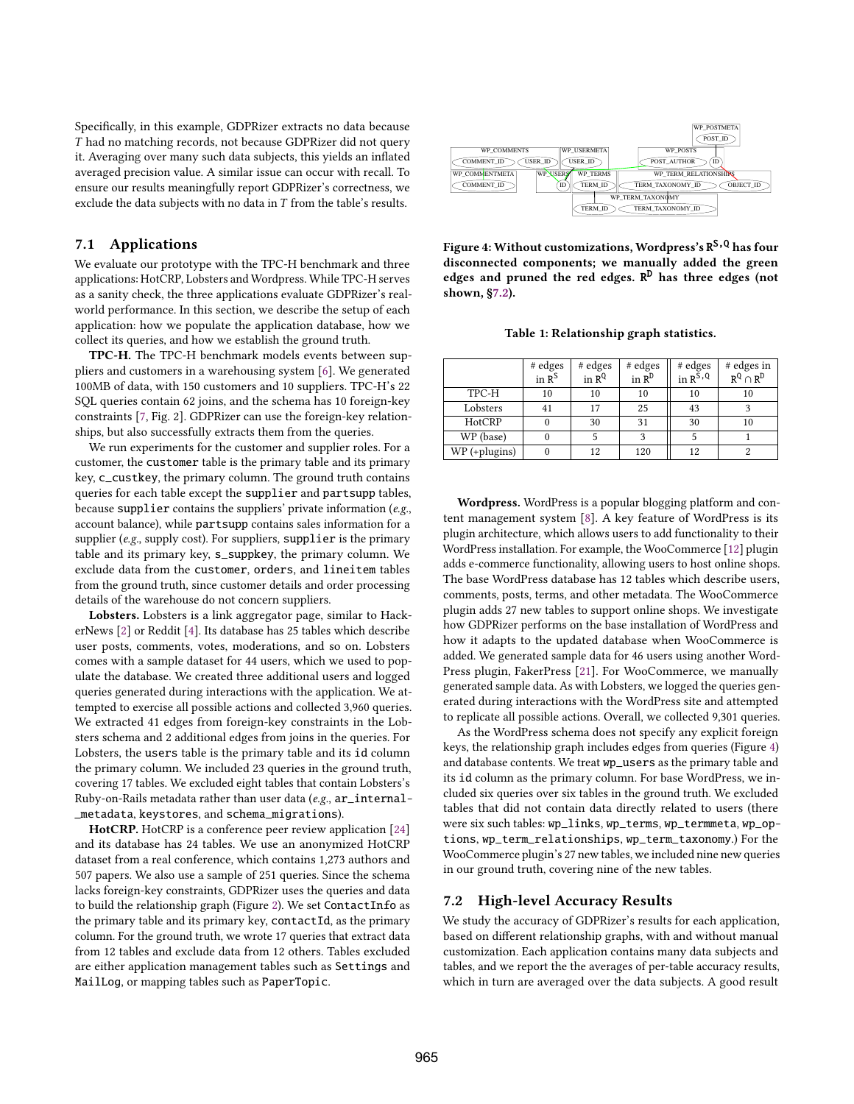Specifcally, in this example, GDPRizer extracts no data because had no matching records, not because GDPRizer did not query it. Averaging over many such data subjects, this yields an infated averaged precision value. A similar issue can occur with recall. To ensure our results meaningfully report GDPRizer's correctness, we exclude the data subjects with no data in  $T$  from the table's results.

#### 7.1 Applications

We evaluate our prototype with the TPC-H benchmark and three applications: HotCRP, Lobsters and Wordpress. While TPC-H serves as a sanity check, the three applications evaluate GDPRizer's realworld performance. In this section, we describe the setup of each application: how we populate the application database, how we collect its queries, and how we establish the ground truth.

TPC-H. The TPC-H benchmark models events between suppliers and customers in a warehousing system [6]. We generated 100MB of data, with 150 customers and 10 suppliers. TPC-H's 22 SQL queries contain 62 joins, and the schema has 10 foreign-key constraints [7, Fig. 2]. GDPRizer can use the foreign-key relationships, but also successfully extracts them from the queries.

We run experiments for the customer and supplier roles. For a customer, the customer table is the primary table and its primary key, c\_custkey, the primary column. The ground truth contains queries for each table except the supplier and partsupp tables, because supplier contains the suppliers' private information  $(e.g.,)$ account balance), while partsupp contains sales information for a supplier (e.g., supply cost). For suppliers, supplier is the primary table and its primary key, s\_suppkey, the primary column. We exclude data from the customer, orders, and lineitem tables from the ground truth, since customer details and order processing details of the warehouse do not concern suppliers.

Lobsters. Lobsters is a link aggregator page, similar to HackerNews [2] or Reddit [4]. Its database has 25 tables which describe user posts, comments, votes, moderations, and so on. Lobsters comes with a sample dataset for 44 users, which we used to populate the database. We created three additional users and logged queries generated during interactions with the application. We attempted to exercise all possible actions and collected 3,960 queries. We extracted 41 edges from foreign-key constraints in the Lobsters schema and 2 additional edges from joins in the queries. For Lobsters, the users table is the primary table and its id column the primary column. We included 23 queries in the ground truth, covering 17 tables. We excluded eight tables that contain Lobsters's Ruby-on-Rails metadata rather than user data (e.g., ar\_internal- \_metadata, keystores, and schema\_migrations).

HotCRP. HotCRP is a conference peer review application [24] and its database has 24 tables. We use an anonymized HotCRP dataset from a real conference, which contains 1,273 authors and 507 papers. We also use a sample of 251 queries. Since the schema lacks foreign-key constraints, GDPRizer uses the queries and data to build the relationship graph (Figure 2). We set ContactInfo as the primary table and its primary key, contactId, as the primary column. For the ground truth, we wrote 17 queries that extract data from 12 tables and exclude data from 12 others. Tables excluded are either application management tables such as Settings and MailLog, or mapping tables such as PaperTopic.



Figure 4: Without customizations, Wordpress's R<sup>S , Q</sup> has four disconnected components; we manually added the green edges and pruned the red edges. R<sup>D</sup> has three edges (not shown, §7.2).

Table 1: Relationship graph statistics.

|                 | # edges<br>in $R^s$ | # edges<br>in $R^Q$ | # edges<br>in $R^D$ | # edges<br>in $R^{\overline{S},Q}$ | # edges in<br>$R^Q \cap R^D$ |
|-----------------|---------------------|---------------------|---------------------|------------------------------------|------------------------------|
| TPC-H           | 10                  | 10                  | 10                  | 10                                 | 10                           |
| Lobsters        | 41                  | 17                  | 25                  | 43                                 |                              |
| HotCRP          |                     | 30                  | 31                  | 30                                 | 10                           |
| WP (base)       |                     |                     | 3                   |                                    |                              |
| $WP$ (+plugins) |                     | 12                  | 120                 | 12                                 | 2                            |

Wordpress. WordPress is a popular blogging platform and content management system [8]. A key feature of WordPress is its plugin architecture, which allows users to add functionality to their WordPress installation. For example, the WooCommerce [12] plugin adds e-commerce functionality, allowing users to host online shops. The base WordPress database has 12 tables which describe users, comments, posts, terms, and other metadata. The WooCommerce plugin adds 27 new tables to support online shops. We investigate how GDPRizer performs on the base installation of WordPress and how it adapts to the updated database when WooCommerce is added. We generated sample data for 46 users using another Word-Press plugin, FakerPress [21]. For WooCommerce, we manually generated sample data. As with Lobsters, we logged the queries generated during interactions with the WordPress site and attempted to replicate all possible actions. Overall, we collected 9,301 queries.

As the WordPress schema does not specify any explicit foreign keys, the relationship graph includes edges from queries (Figure 4) and database contents. We treat wp\_users as the primary table and its id column as the primary column. For base WordPress, we included six queries over six tables in the ground truth. We excluded tables that did not contain data directly related to users (there were six such tables: wp\_links, wp\_terms, wp\_termmeta, wp\_options, wp\_term\_relationships, wp\_term\_taxonomy.) For the WooCommerce plugin's 27 new tables, we included nine new queries in our ground truth, covering nine of the new tables.

#### 7.2 High-level Accuracy Results

We study the accuracy of GDPRizer's results for each application, based on diferent relationship graphs, with and without manual customization. Each application contains many data subjects and tables, and we report the the averages of per-table accuracy results, which in turn are averaged over the data subjects. A good result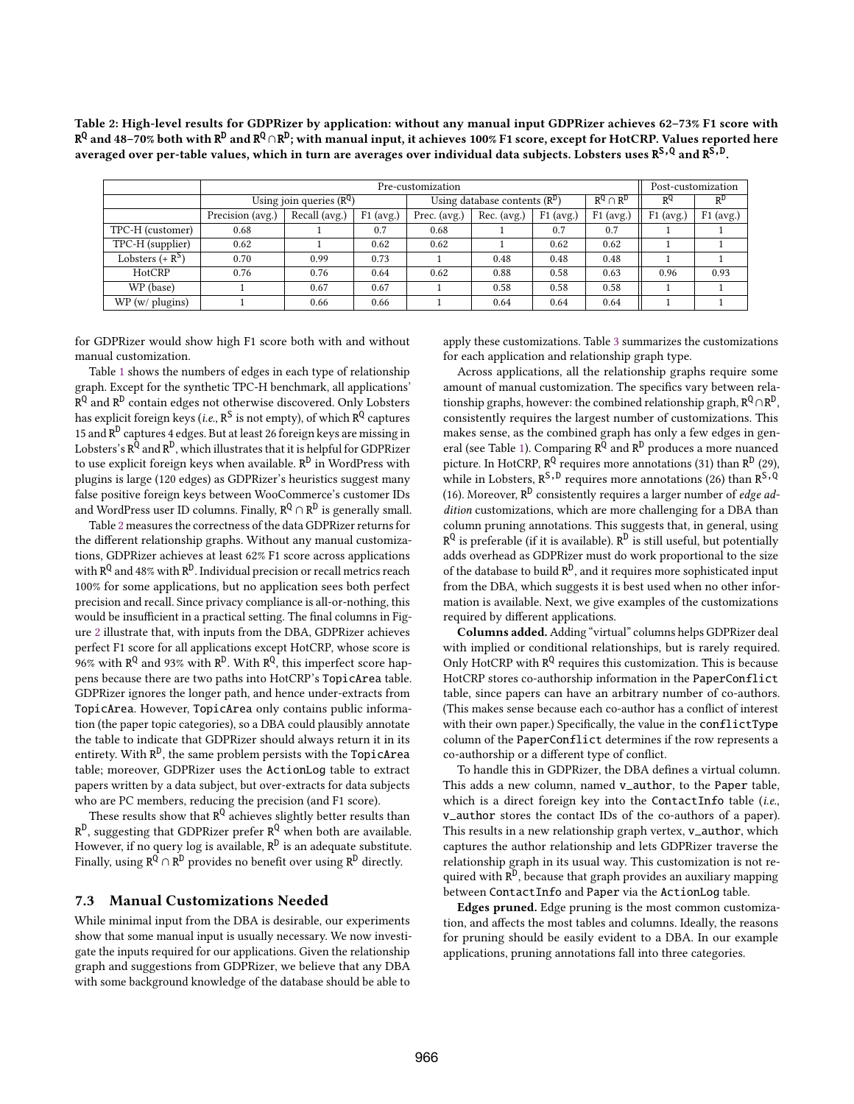Table 2: High-level results for GDPRizer by application: without any manual input GDPRizer achieves 62–73% F1 score with R<sup>Q</sup> and 48–70% both with R<sup>D</sup> and R<sup>Q</sup>∩R<sup>D</sup>; with manual input, it achieves 100% F1 score, except for HotCRP. Values reported here averaged over per-table values, which in turn are averages over individual data subjects. Lobsters uses  $R^{S,Q}$  and  $R^{\bar{S},\bar{D}}$ .

|                        | Pre-customization            |                                                                            |      |      |                                 |                |             | Post-customization |      |
|------------------------|------------------------------|----------------------------------------------------------------------------|------|------|---------------------------------|----------------|-------------|--------------------|------|
|                        | Using join queries $(R^{Q})$ |                                                                            |      |      | Using database contents $(R^D)$ | $R^Q \cap R^D$ | $R^{Q}$     | $R^D$              |      |
|                        | Precision (avg.)             | Recall (avg.)<br>F1 (avg.)<br>$F1$ (avg.)<br>Rec. (avg.)<br>Prec. $(avg.)$ |      |      |                                 | $F1$ (avg.)    | $F1$ (avg.) | $F1$ (avg.)        |      |
| TPC-H (customer)       | 0.68                         |                                                                            | 0.7  | 0.68 |                                 | 0.7            | 0.7         |                    |      |
| TPC-H (supplier)       | 0.62                         |                                                                            | 0.62 | 0.62 |                                 | 0.62           | 0.62        |                    |      |
| Lobsters $(+ R^S)$     | 0.70                         | 0.99                                                                       | 0.73 |      | 0.48                            | 0.48           | 0.48        |                    |      |
| HotCRP                 | 0.76                         | 0.76                                                                       | 0.64 | 0.62 | 0.88                            | 0.58           | 0.63        | 0.96               | 0.93 |
| WP (base)              |                              | 0.67                                                                       | 0.67 |      | 0.58                            | 0.58           | 0.58        |                    |      |
| $WP(w/\text{plugins})$ |                              | 0.66                                                                       | 0.66 |      | 0.64                            | 0.64           | 0.64        |                    |      |

for GDPRizer would show high F1 score both with and without manual customization.

Table 1 shows the numbers of edges in each type of relationship graph. Except for the synthetic TPC-H benchmark, all applications'  $R^{Q}$  and  $R^{D}$  contain edges not otherwise discovered. Only Lobsters has explicit foreign keys (*i.e.*,  $\text{R}^\text{S}$  is not empty), of which  $\text{R}^\text{Q}$  captures 15 and R D captures 4 edges. But at least 26 foreign keys are missing in Lobsters's  $\bar{\mathtt{R}^Q}$  and  $\bar{\mathtt{R}^D}$  , which illustrates that it is helpful for GDPRizer to use explicit foreign keys when available.  $\mathtt{R}^\mathtt{D}$  in WordPress with plugins is large (120 edges) as GDPRizer's heuristics suggest many false positive foreign keys between WooCommerce's customer IDs and WordPress user ID columns. Finally,  $R^Q \cap R^D$  is generally small.

Table 2 measures the correctness of the data GDPRizer returns for the diferent relationship graphs. Without any manual customizations, GDPRizer achieves at least 62% F1 score across applications with R<sup>Q</sup> and 48% with R<sup>D</sup>. Individual precision or recall metrics reach 100% for some applications, but no application sees both perfect precision and recall. Since privacy compliance is all-or-nothing, this would be insufficient in a practical setting. The final columns in Figure 2 illustrate that, with inputs from the DBA, GDPRizer achieves perfect F1 score for all applications except HotCRP, whose score is 96% with  $R^Q$  and 93% with  $R^D$ . With  $R^Q$ , this imperfect score happens because there are two paths into HotCRP's TopicArea table. GDPRizer ignores the longer path, and hence under-extracts from TopicArea. However, TopicArea only contains public information (the paper topic categories), so a DBA could plausibly annotate the table to indicate that GDPRizer should always return it in its entirety. With  $\mathbb{R}^{\mathbb{D}},$  the same problem persists with the TopicArea table; moreover, GDPRizer uses the ActionLog table to extract papers written by a data subject, but over-extracts for data subjects who are PC members, reducing the precision (and F1 score).

These results show that  $\mathsf{R}^\mathsf{Q}$  achieves slightly better results than  $\mathtt{R}^\mathtt{D}$ , suggesting that GDPRizer prefer  $\mathtt{R}^\mathtt{Q}$  when both are available. However, if no query log is available,  $\mathsf{R}^{\textsf{D}}$  is an adequate substitute. Finally, using  $R^{\overline{Q}} \cap R^{\overline{D}}$  provides no benefit over using  $R^{\overline{D}}$  directly.

## 7.3 Manual Customizations Needed

While minimal input from the DBA is desirable, our experiments show that some manual input is usually necessary. We now investigate the inputs required for our applications. Given the relationship graph and suggestions from GDPRizer, we believe that any DBA with some background knowledge of the database should be able to

apply these customizations. Table 3 summarizes the customizations for each application and relationship graph type.

Across applications, all the relationship graphs require some amount of manual customization. The specifcs vary between relationship graphs, however: the combined relationship graph,  $\texttt{R}^{\textsf{Q}} \cap \texttt{R}^{\textsf{D}}$ , consistently requires the largest number of customizations. This makes sense, as the combined graph has only a few edges in general (see Table 1). Comparing R<sup>Q</sup> and R<sup>D</sup> produces a more nuanced picture. In HotCRP, R<sup>Q</sup> requires more annotations (31) than R<sup>D</sup> (29), while in Lobsters,  $R^{S,D}$  requires more annotations (26) than  $R^{S,O}$ (16). Moreover,  $R^D$  consistently requires a larger number of *edge ad*dition customizations, which are more challenging for a DBA than column pruning annotations. This suggests that, in general, using  $R^{Q}$  is preferable (if it is available).  $R^{D}$  is still useful, but potentially adds overhead as GDPRizer must do work proportional to the size of the database to build  $\mathbb{R}^{\mathbb{D}}$ , and it requires more sophisticated input from the DBA, which suggests it is best used when no other information is available. Next, we give examples of the customizations required by diferent applications.

Columns added. Adding "virtual" columns helps GDPRizer deal with implied or conditional relationships, but is rarely required. Only HotCRP with  $R^Q$  requires this customization. This is because HotCRP stores co-authorship information in the PaperConflict table, since papers can have an arbitrary number of co-authors. (This makes sense because each co-author has a confict of interest with their own paper.) Specifically, the value in the conflictType column of the PaperConflict determines if the row represents a co-authorship or a diferent type of confict.

To handle this in GDPRizer, the DBA defnes a virtual column. This adds a new column, named v\_author, to the Paper table, which is a direct foreign key into the ContactInfo table  $(i.e.,$ v\_author stores the contact IDs of the co-authors of a paper). This results in a new relationship graph vertex, v\_author, which captures the author relationship and lets GDPRizer traverse the relationship graph in its usual way. This customization is not required with  $\mathbb{R}^{\mathbb{D}}$ , because that graph provides an auxiliary mapping between ContactInfo and Paper via the ActionLog table.

Edges pruned. Edge pruning is the most common customization, and afects the most tables and columns. Ideally, the reasons for pruning should be easily evident to a DBA. In our example applications, pruning annotations fall into three categories.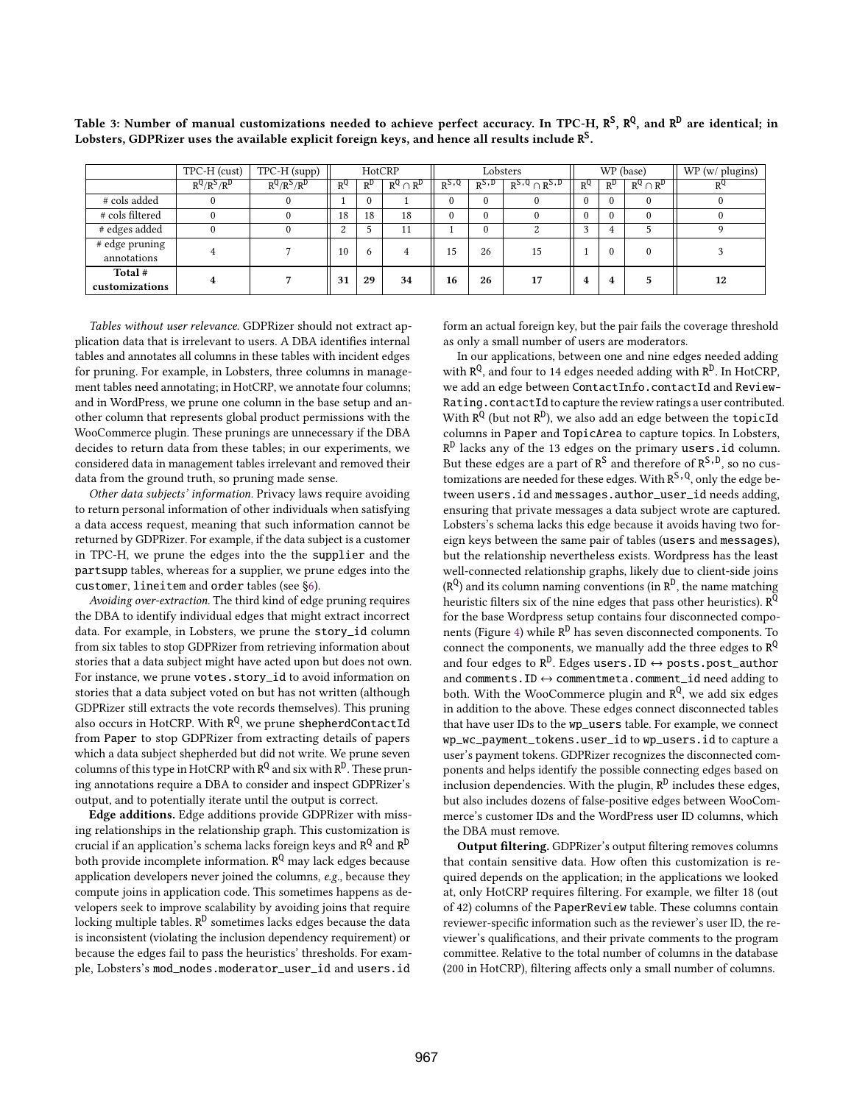|                               | TPC-H (cust)        | $TPC-H$ (supp)      |              | HotCRP     |                | Lobsters     |              | WP (base)                |          |           | WP (w/ plugins) |         |
|-------------------------------|---------------------|---------------------|--------------|------------|----------------|--------------|--------------|--------------------------|----------|-----------|-----------------|---------|
|                               | $R^{Q}/R^{S}/R^{D}$ | $R^{Q}/R^{S}/R^{D}$ | $R^{Q}$      | $R^D$      | $R^Q \cap R^D$ | $R^{S,Q}$    | $R^{S,D}$    | $R^{5, Q} \cap R^{5, D}$ | $R^{Q}$  | $R^{\nu}$ | $R^Q \cap R^D$  | $R^{Q}$ |
| # cols added                  |                     |                     |              |            |                | $\Omega$     | $\mathbf{0}$ |                          |          |           | 0               |         |
| # cols filtered               |                     |                     | 18           | 18         | 18             | $\mathbf{0}$ | $\mathbf{0}$ |                          |          |           | $\Omega$        |         |
| # edges added                 | $\theta$            |                     | <sup>o</sup> |            | 11             |              | $\theta$     | $\Omega$                 | $\Omega$ |           |                 |         |
| # edge pruning<br>annotations |                     |                     | 10           | $\sqrt{2}$ | 4              | 15           | 26           | 15                       |          |           | $\Omega$        |         |
| Total #<br>customizations     | 4                   |                     | 31           | 29         | 34             | 16           | 26           | 17                       | 4        | 4         |                 | 12      |

Table 3: Number of manual customizations needed to achieve perfect accuracy. In TPC-H,  $R^S$ ,  $R^Q$ , and  $R^D$  are identical; in Lobsters, GDPRizer uses the available explicit foreign keys, and hence all results include  $\mathtt{R}^\mathsf{S}.$ 

Tables without user relevance. GDPRizer should not extract application data that is irrelevant to users. A DBA identifes internal tables and annotates all columns in these tables with incident edges for pruning. For example, in Lobsters, three columns in management tables need annotating; in HotCRP, we annotate four columns; and in WordPress, we prune one column in the base setup and another column that represents global product permissions with the WooCommerce plugin. These prunings are unnecessary if the DBA decides to return data from these tables; in our experiments, we considered data in management tables irrelevant and removed their data from the ground truth, so pruning made sense.

Other data subjects' information. Privacy laws require avoiding to return personal information of other individuals when satisfying a data access request, meaning that such information cannot be returned by GDPRizer. For example, if the data subject is a customer in TPC-H, we prune the edges into the the supplier and the partsupp tables, whereas for a supplier, we prune edges into the customer, lineitem and order tables (see §6).

Avoiding over-extraction. The third kind of edge pruning requires the DBA to identify individual edges that might extract incorrect data. For example, in Lobsters, we prune the story\_id column from six tables to stop GDPRizer from retrieving information about stories that a data subject might have acted upon but does not own. For instance, we prune votes.story\_id to avoid information on stories that a data subject voted on but has not written (although GDPRizer still extracts the vote records themselves). This pruning also occurs in HotCRP. With  $\mathsf{R}^\mathsf{Q}$ , we prune  ${\sf shepherdContractId}$ from Paper to stop GDPRizer from extracting details of papers which a data subject shepherded but did not write. We prune seven columns of this type in HotCRP with  $R^Q$  and six with  $R^D$ . These pruning annotations require a DBA to consider and inspect GDPRizer's output, and to potentially iterate until the output is correct.

Edge additions. Edge additions provide GDPRizer with missing relationships in the relationship graph. This customization is crucial if an application's schema lacks foreign keys and R<sup>Q</sup> and R<sup>D</sup> both provide incomplete information. R<sup>Q</sup> may lack edges because application developers never joined the columns, e.g., because they compute joins in application code. This sometimes happens as developers seek to improve scalability by avoiding joins that require locking multiple tables. R<sup>D</sup> sometimes lacks edges because the data is inconsistent (violating the inclusion dependency requirement) or because the edges fail to pass the heuristics' thresholds. For example, Lobsters's mod\_nodes.moderator\_user\_id and users.id

form an actual foreign key, but the pair fails the coverage threshold as only a small number of users are moderators.

In our applications, between one and nine edges needed adding with R<sup>Q</sup>, and four to 14 edges needed adding with R<sup>D</sup>. In HotCRP, we add an edge between ContactInfo.contactId and Review-Rating.contactId to capture the review ratings a user contributed. With  $R^Q$  (but not  $R^D$ ), we also add an edge between the topicId columns in Paper and TopicArea to capture topics. In Lobsters,  $R^D$  lacks any of the 13 edges on the primary users.id column. But these edges are a part of  $R^S$  and therefore of  $R^{S,D}$ , so no customizations are needed for these edges. With  $R^{S,Q}$ , only the edge between users.id and messages.author\_user\_id needs adding, ensuring that private messages a data subject wrote are captured. Lobsters's schema lacks this edge because it avoids having two foreign keys between the same pair of tables (users and messages), but the relationship nevertheless exists. Wordpress has the least well-connected relationship graphs, likely due to client-side joins  $(R^{Q})$  and its column naming conventions (in  $R^{D}$ , the name matching heuristic filters six of the nine edges that pass other heuristics).  $\tilde{R^Q}$ for the base Wordpress setup contains four disconnected components (Figure 4) while R<sup>D</sup> has seven disconnected components. To connect the components, we manually add the three edges to  $R^{Q}$ and four edges to  $R^D$ . Edges users. ID  $\leftrightarrow$  posts.post\_author and comments.ID ↔ commentmeta.comment\_id need adding to both. With the WooCommerce plugin and R<sup>Q</sup>, we add six edges in addition to the above. These edges connect disconnected tables that have user IDs to the wp\_users table. For example, we connect wp\_wc\_payment\_tokens.user\_id to wp\_users.id to capture a user's payment tokens. GDPRizer recognizes the disconnected components and helps identify the possible connecting edges based on inclusion dependencies. With the plugin,  $R^D$  includes these edges, but also includes dozens of false-positive edges between WooCommerce's customer IDs and the WordPress user ID columns, which the DBA must remove.

Output filtering. GDPRizer's output filtering removes columns that contain sensitive data. How often this customization is required depends on the application; in the applications we looked at, only HotCRP requires fltering. For example, we flter 18 (out of 42) columns of the PaperReview table. These columns contain reviewer-specifc information such as the reviewer's user ID, the reviewer's qualifcations, and their private comments to the program committee. Relative to the total number of columns in the database (200 in HotCRP), fltering afects only a small number of columns.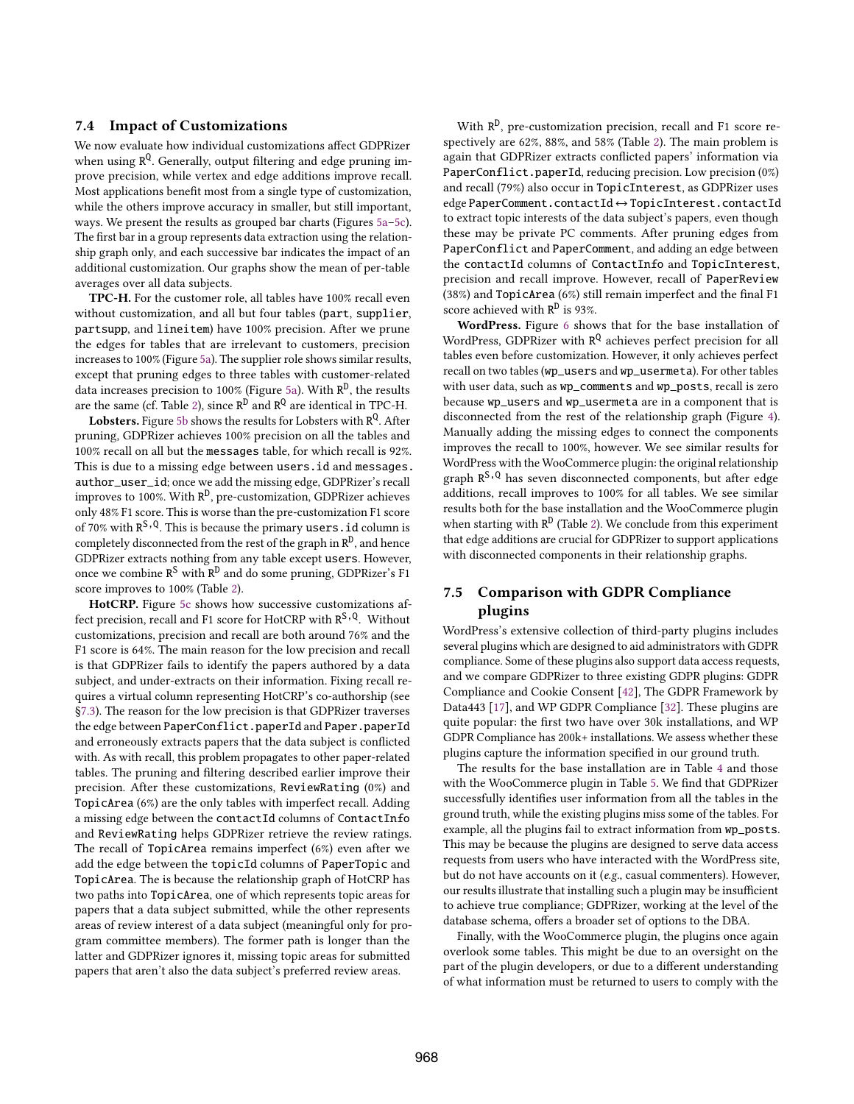## 7.4 Impact of Customizations

We now evaluate how individual customizations afect GDPRizer when using R<sup>Q</sup>. Generally, output filtering and edge pruning improve precision, while vertex and edge additions improve recall. Most applications beneft most from a single type of customization, while the others improve accuracy in smaller, but still important, ways. We present the results as grouped bar charts (Figures 5a–5c). The first bar in a group represents data extraction using the relationship graph only, and each successive bar indicates the impact of an additional customization. Our graphs show the mean of per-table averages over all data subjects.

TPC-H. For the customer role, all tables have 100% recall even without customization, and all but four tables (part, supplier, partsupp, and lineitem) have 100% precision. After we prune the edges for tables that are irrelevant to customers, precision increases to 100% (Figure 5a). The supplier role shows similar results, except that pruning edges to three tables with customer-related data increases precision to 100% (Figure 5a). With  $R^D$ , the results are the same (cf. Table 2), since  $R^D$  and  $R^Q$  are identical in TPC-H.

 ${\bf Lobsters.}$  Figure 5b shows the results for Lobsters with  ${\tt R^Q.}$  After pruning, GDPRizer achieves 100% precision on all the tables and 100% recall on all but the messages table, for which recall is 92%. This is due to a missing edge between users.id and messages. author\_user\_id; once we add the missing edge, GDPRizer's recall improves to 100%. With R<sup>D</sup>, pre-customization, GDPRizer achieves only 48% F1 score. This is worse than the pre-customization F1 score of 70% with  $R^{S,Q}$ . This is because the primary users . id column is completely disconnected from the rest of the graph in  $\mathbb{R}^D$ , and hence GDPRizer extracts nothing from any table except users. However, once we combine R<sup>S</sup> with R<sup>D</sup> and do some pruning, GDPRizer's F1 score improves to 100% (Table 2).

HotCRP. Figure 5c shows how successive customizations affect precision, recall and F1 score for HotCRP with R<sup>S, Q</sup>. Without customizations, precision and recall are both around 76% and the F1 score is 64%. The main reason for the low precision and recall is that GDPRizer fails to identify the papers authored by a data subject, and under-extracts on their information. Fixing recall requires a virtual column representing HotCRP's co-authorship (see §7.3). The reason for the low precision is that GDPRizer traverses the edge between PaperConflict.paperId and Paper.paperId and erroneously extracts papers that the data subject is conficted with. As with recall, this problem propagates to other paper-related tables. The pruning and fltering described earlier improve their precision. After these customizations, ReviewRating (0%) and TopicArea (6%) are the only tables with imperfect recall. Adding a missing edge between the contactId columns of ContactInfo and ReviewRating helps GDPRizer retrieve the review ratings. The recall of TopicArea remains imperfect (6%) even after we add the edge between the topicId columns of PaperTopic and TopicArea. The is because the relationship graph of HotCRP has two paths into TopicArea, one of which represents topic areas for papers that a data subject submitted, while the other represents areas of review interest of a data subject (meaningful only for program committee members). The former path is longer than the latter and GDPRizer ignores it, missing topic areas for submitted papers that aren't also the data subject's preferred review areas.

With R<sup>D</sup>, pre-customization precision, recall and F1 score respectively are 62%, 88%, and 58% (Table 2). The main problem is again that GDPRizer extracts conficted papers' information via PaperConflict.paperId, reducing precision. Low precision (0%) and recall (79%) also occur in TopicInterest, as GDPRizer uses edge PaperComment.contactId↔TopicInterest.contactId to extract topic interests of the data subject's papers, even though these may be private PC comments. After pruning edges from PaperConflict and PaperComment, and adding an edge between the contactId columns of ContactInfo and TopicInterest, precision and recall improve. However, recall of PaperReview (38%) and TopicArea (6%) still remain imperfect and the fnal F1 score achieved with  $\mathbb{R}^D$  is 93%.

WordPress. Figure 6 shows that for the base installation of WordPress, GDPRizer with R<sup>Q</sup> achieves perfect precision for all tables even before customization. However, it only achieves perfect recall on two tables (wp\_users and wp\_usermeta). For other tables with user data, such as wp\_comments and wp\_posts, recall is zero because wp\_users and wp\_usermeta are in a component that is disconnected from the rest of the relationship graph (Figure 4). Manually adding the missing edges to connect the components improves the recall to 100%, however. We see similar results for WordPress with the WooCommerce plugin: the original relationship graph R<sup>S, Q</sup> has seven disconnected components, but after edge additions, recall improves to 100% for all tables. We see similar results both for the base installation and the WooCommerce plugin when starting with  $R^D$  (Table 2). We conclude from this experiment that edge additions are crucial for GDPRizer to support applications with disconnected components in their relationship graphs.

# 7.5 Comparison with GDPR Compliance plugins

WordPress's extensive collection of third-party plugins includes several plugins which are designed to aid administrators with GDPR compliance. Some of these plugins also support data access requests, and we compare GDPRizer to three existing GDPR plugins: GDPR Compliance and Cookie Consent [42], The GDPR Framework by Data443 [17], and WP GDPR Compliance [32]. These plugins are quite popular: the frst two have over 30k installations, and WP GDPR Compliance has 200k+ installations. We assess whether these plugins capture the information specifed in our ground truth.

The results for the base installation are in Table 4 and those with the WooCommerce plugin in Table 5. We fnd that GDPRizer successfully identifes user information from all the tables in the ground truth, while the existing plugins miss some of the tables. For example, all the plugins fail to extract information from wp\_posts. This may be because the plugins are designed to serve data access requests from users who have interacted with the WordPress site, but do not have accounts on it (e.g., casual commenters). However, our results illustrate that installing such a plugin may be insufficient to achieve true compliance; GDPRizer, working at the level of the database schema, offers a broader set of options to the DBA.

Finally, with the WooCommerce plugin, the plugins once again overlook some tables. This might be due to an oversight on the part of the plugin developers, or due to a diferent understanding of what information must be returned to users to comply with the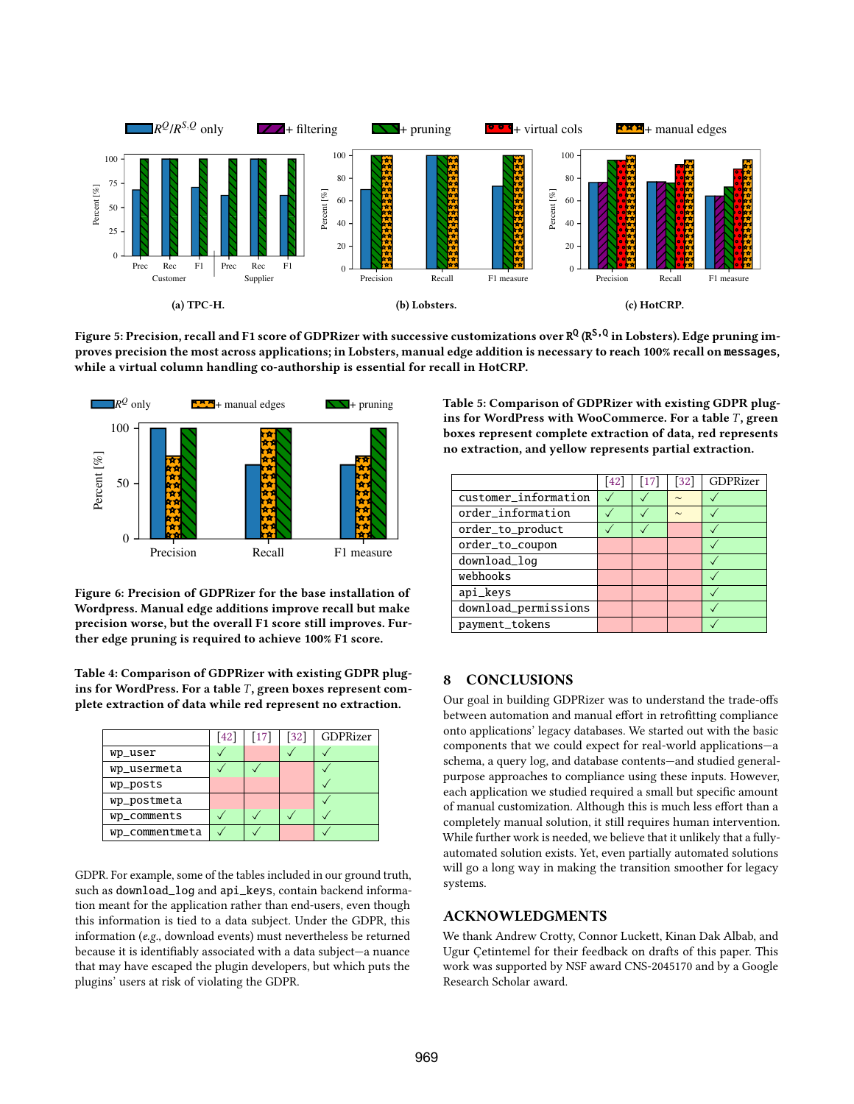

Figure 5: Precision, recall and F1 score of GDPRizer with successive customizations over R<sup>Q</sup> (R<sup>S,Q</sup> in Lobsters). Edge pruning improves precision the most across applications; in Lobsters, manual edge addition is necessary to reach 100% recall on messages, while a virtual column handling co-authorship is essential for recall in HotCRP.



Figure 6: Precision of GDPRizer for the base installation of Wordpress. Manual edge additions improve recall but make precision worse, but the overall F1 score still improves. Further edge pruning is required to achieve 100% F1 score.

Table 4: Comparison of GDPRizer with existing GDPR plugins for WordPress. For a table  $T$ , green boxes represent complete extraction of data while red represent no extraction.

|                | [42] | $\lceil 17 \rceil$ | $\left[32\right]$ | GDPRizer |
|----------------|------|--------------------|-------------------|----------|
| wp_user        |      |                    |                   |          |
| wp_usermeta    |      |                    |                   |          |
| wp_posts       |      |                    |                   |          |
| wp_postmeta    |      |                    |                   |          |
| wp_comments    |      |                    |                   |          |
| wp_commentmeta |      |                    |                   |          |

GDPR. For example, some of the tables included in our ground truth, such as download\_log and api\_keys, contain backend information meant for the application rather than end-users, even though this information is tied to a data subject. Under the GDPR, this information (e.g., download events) must nevertheless be returned because it is identifably associated with a data subject—a nuance that may have escaped the plugin developers, but which puts the plugins' users at risk of violating the GDPR.

Table 5: Comparison of GDPRizer with existing GDPR plugins for WordPress with WooCommerce. For a table  $T$ , green boxes represent complete extraction of data, red represents no extraction, and yellow represents partial extraction.

|                      | $\left[42\right]$ | $\left\lceil 17 \right\rceil$ | 32     | GDPRizer |
|----------------------|-------------------|-------------------------------|--------|----------|
| customer_information |                   |                               | $\sim$ |          |
| order_information    |                   |                               | $\sim$ |          |
| order_to_product     |                   |                               |        |          |
| order_to_coupon      |                   |                               |        |          |
| download_log         |                   |                               |        |          |
| webhooks             |                   |                               |        |          |
| api_keys             |                   |                               |        |          |
| download_permissions |                   |                               |        |          |
| payment_tokens       |                   |                               |        |          |
|                      |                   |                               |        |          |

## 8 CONCLUSIONS

Our goal in building GDPRizer was to understand the trade-ofs between automation and manual effort in retrofitting compliance onto applications' legacy databases. We started out with the basic components that we could expect for real-world applications—a schema, a query log, and database contents—and studied generalpurpose approaches to compliance using these inputs. However, each application we studied required a small but specifc amount of manual customization. Although this is much less efort than a completely manual solution, it still requires human intervention. While further work is needed, we believe that it unlikely that a fullyautomated solution exists. Yet, even partially automated solutions will go a long way in making the transition smoother for legacy systems.

#### ACKNOWLEDGMENTS

We thank Andrew Crotty, Connor Luckett, Kinan Dak Albab, and Ugur Çetintemel for their feedback on drafts of this paper. This work was supported by NSF award CNS-2045170 and by a Google Research Scholar award.